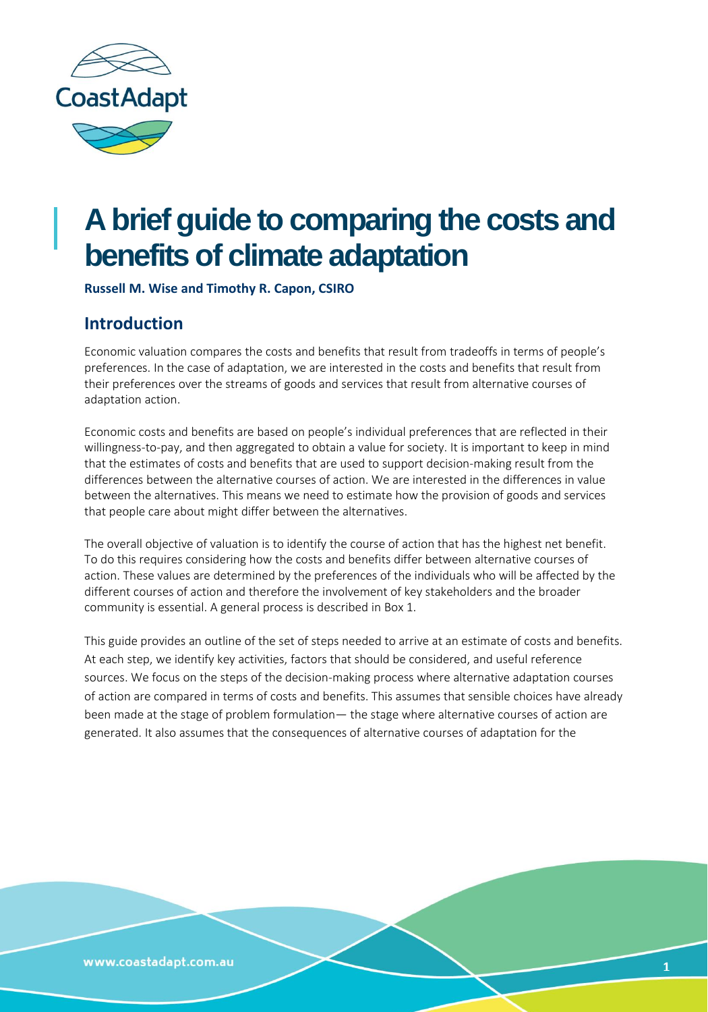

## **A brief guide to comparing the costs and benefits of climate adaptation**

**Russell M. Wise and Timothy R. Capon, CSIRO**

## **Introduction**

Economic valuation compares the costs and benefits that result from tradeoffs in terms of people's preferences. In the case of adaptation, we are interested in the costs and benefits that result from their preferences over the streams of goods and services that result from alternative courses of adaptation action.

Economic costs and benefits are based on people's individual preferences that are reflected in their willingness-to-pay, and then aggregated to obtain a value for society. It is important to keep in mind that the estimates of costs and benefits that are used to support decision-making result from the differences between the alternative courses of action. We are interested in the differences in value between the alternatives. This means we need to estimate how the provision of goods and services that people care about might differ between the alternatives.

The overall objective of valuation is to identify the course of action that has the highest net benefit. To do this requires considering how the costs and benefits differ between alternative courses of action. These values are determined by the preferences of the individuals who will be affected by the different courses of action and therefore the involvement of key stakeholders and the broader community is essential. A general process is described in Box 1.

This guide provides an outline of the set of steps needed to arrive at an estimate of costs and benefits. At each step, we identify key activities, factors that should be considered, and useful reference sources. We focus on the steps of the decision-making process where alternative adaptation courses of action are compared in terms of costs and benefits. This assumes that sensible choices have already been made at the stage of problem formulation— the stage where alternative courses of action are generated. It also assumes that the consequences of alternative courses of adaptation for the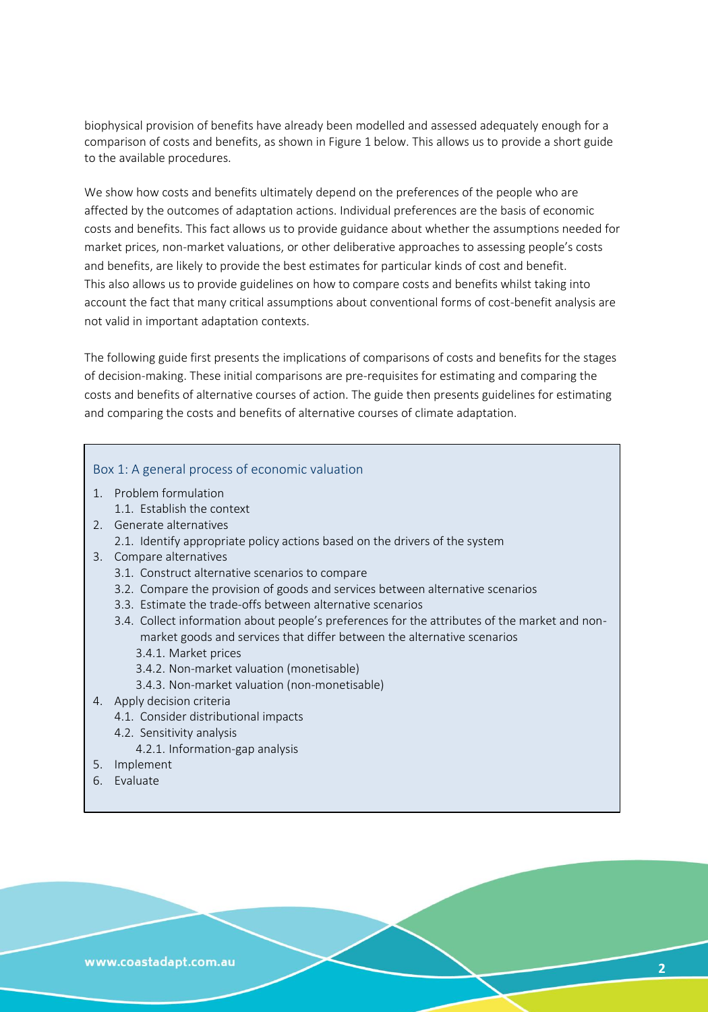biophysical provision of benefits have already been modelled and assessed adequately enough for a comparison of costs and benefits, as shown in Figure 1 below. This allows us to provide a short guide to the available procedures.

We show how costs and benefits ultimately depend on the preferences of the people who are affected by the outcomes of adaptation actions. Individual preferences are the basis of economic costs and benefits. This fact allows us to provide guidance about whether the assumptions needed for market prices, non-market valuations, or other deliberative approaches to assessing people's costs and benefits, are likely to provide the best estimates for particular kinds of cost and benefit. This also allows us to provide guidelines on how to compare costs and benefits whilst taking into account the fact that many critical assumptions about conventional forms of cost-benefit analysis are not valid in important adaptation contexts.

The following guide first presents the implications of comparisons of costs and benefits for the stages of decision-making. These initial comparisons are pre-requisites for estimating and comparing the costs and benefits of alternative courses of action. The guide then presents guidelines for estimating and comparing the costs and benefits of alternative courses of climate adaptation.

## Box 1: A general process of economic valuation

- 1. Problem formulation
	- 1.1. Establish the context
- 2. Generate alternatives
	- 2.1. Identify appropriate policy actions based on the drivers of the system
- 3. Compare alternatives
	- 3.1. Construct alternative scenarios to compare
	- 3.2. Compare the provision of goods and services between alternative scenarios
	- 3.3. Estimate the trade-offs between alternative scenarios
	- 3.4. Collect information about people's preferences for the attributes of the market and nonmarket goods and services that differ between the alternative scenarios
		- 3.4.1. Market prices
		- 3.4.2. Non-market valuation (monetisable)
		- 3.4.3. Non-market valuation (non-monetisable)
- 4. Apply decision criteria
	- 4.1. Consider distributional impacts
	- 4.2. Sensitivity analysis
		- 4.2.1. Information-gap analysis
- 5. Implement
- 6. Evaluate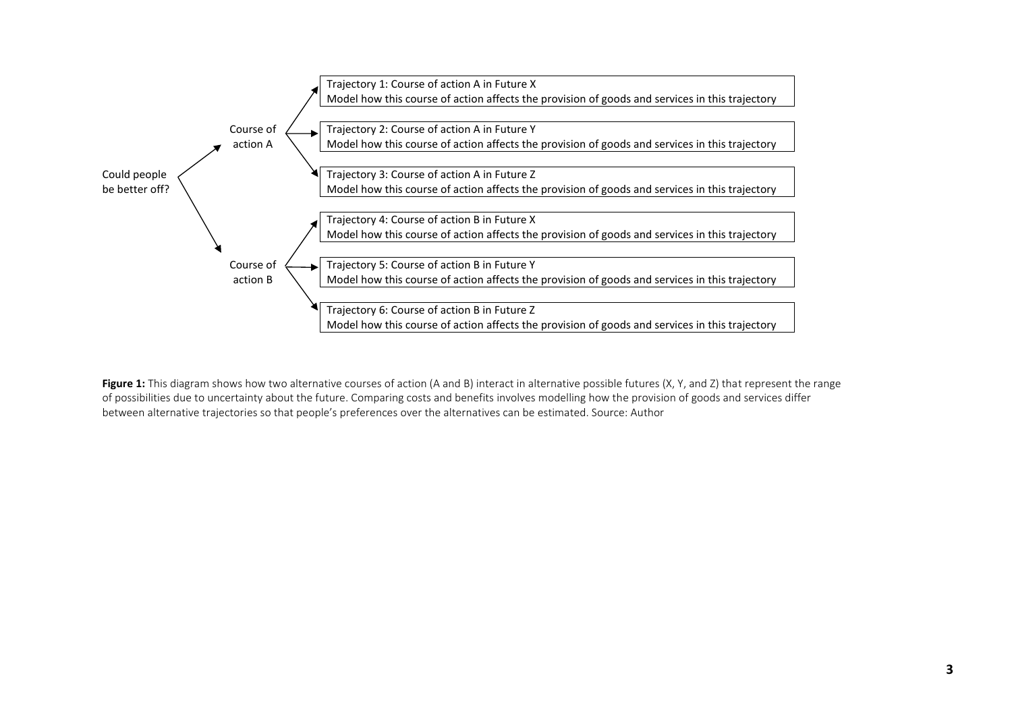

**Figure 1:** This diagram shows how two alternative courses of action (A and B) interact in alternative possible futures (X, Y, and Z) that represent the range of possibilities due to uncertainty about the future. Comparing costs and benefits involves modelling how the provision of goods and services differ between alternative trajectories so that people's preferences over the alternatives can be estimated. Source: Author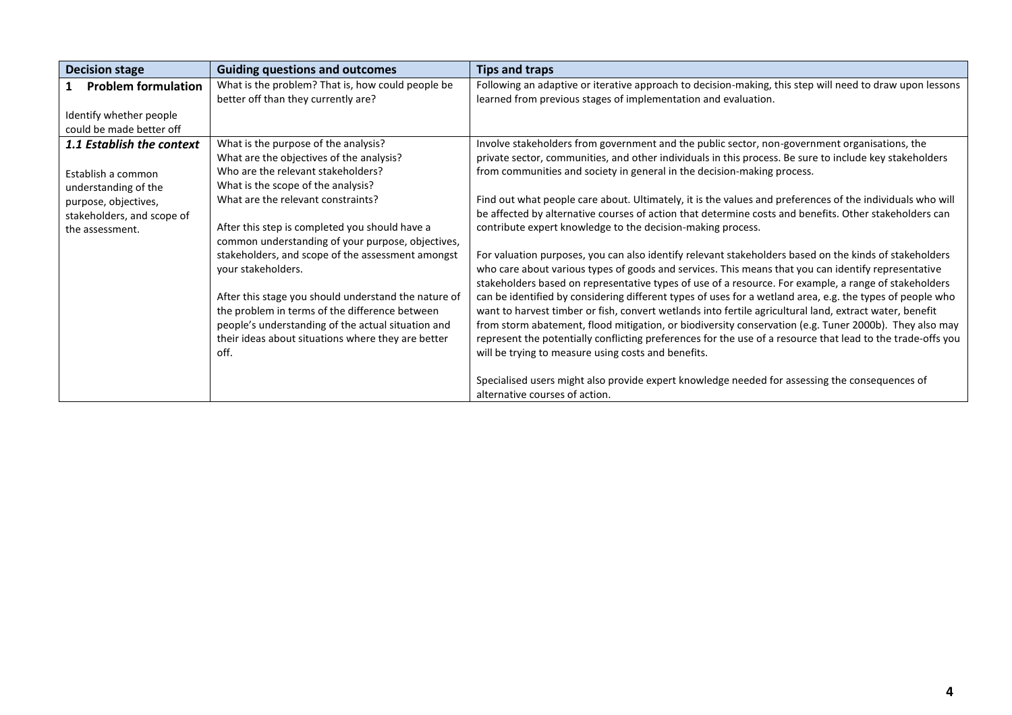| <b>Decision stage</b>            | <b>Guiding questions and outcomes</b>                | <b>Tips and traps</b>                                                                                       |
|----------------------------------|------------------------------------------------------|-------------------------------------------------------------------------------------------------------------|
| <b>Problem formulation</b>       | What is the problem? That is, how could people be    | Following an adaptive or iterative approach to decision-making, this step will need to draw upon lessons    |
|                                  | better off than they currently are?                  | learned from previous stages of implementation and evaluation.                                              |
| Identify whether people          |                                                      |                                                                                                             |
| could be made better off         |                                                      |                                                                                                             |
| <b>1.1 Establish the context</b> | What is the purpose of the analysis?                 | Involve stakeholders from government and the public sector, non-government organisations, the               |
|                                  | What are the objectives of the analysis?             | private sector, communities, and other individuals in this process. Be sure to include key stakeholders     |
| Establish a common               | Who are the relevant stakeholders?                   | from communities and society in general in the decision-making process.                                     |
| understanding of the             | What is the scope of the analysis?                   |                                                                                                             |
| purpose, objectives,             | What are the relevant constraints?                   | Find out what people care about. Ultimately, it is the values and preferences of the individuals who will   |
| stakeholders, and scope of       |                                                      | be affected by alternative courses of action that determine costs and benefits. Other stakeholders can      |
| the assessment.                  | After this step is completed you should have a       | contribute expert knowledge to the decision-making process.                                                 |
|                                  | common understanding of your purpose, objectives,    |                                                                                                             |
|                                  | stakeholders, and scope of the assessment amongst    | For valuation purposes, you can also identify relevant stakeholders based on the kinds of stakeholders      |
|                                  | your stakeholders.                                   | who care about various types of goods and services. This means that you can identify representative         |
|                                  |                                                      | stakeholders based on representative types of use of a resource. For example, a range of stakeholders       |
|                                  | After this stage you should understand the nature of | can be identified by considering different types of uses for a wetland area, e.g. the types of people who   |
|                                  | the problem in terms of the difference between       | want to harvest timber or fish, convert wetlands into fertile agricultural land, extract water, benefit     |
|                                  | people's understanding of the actual situation and   | from storm abatement, flood mitigation, or biodiversity conservation (e.g. Tuner 2000b). They also may      |
|                                  | their ideas about situations where they are better   | represent the potentially conflicting preferences for the use of a resource that lead to the trade-offs you |
|                                  | off.                                                 | will be trying to measure using costs and benefits.                                                         |
|                                  |                                                      | Specialised users might also provide expert knowledge needed for assessing the consequences of              |
|                                  |                                                      | alternative courses of action.                                                                              |
|                                  |                                                      |                                                                                                             |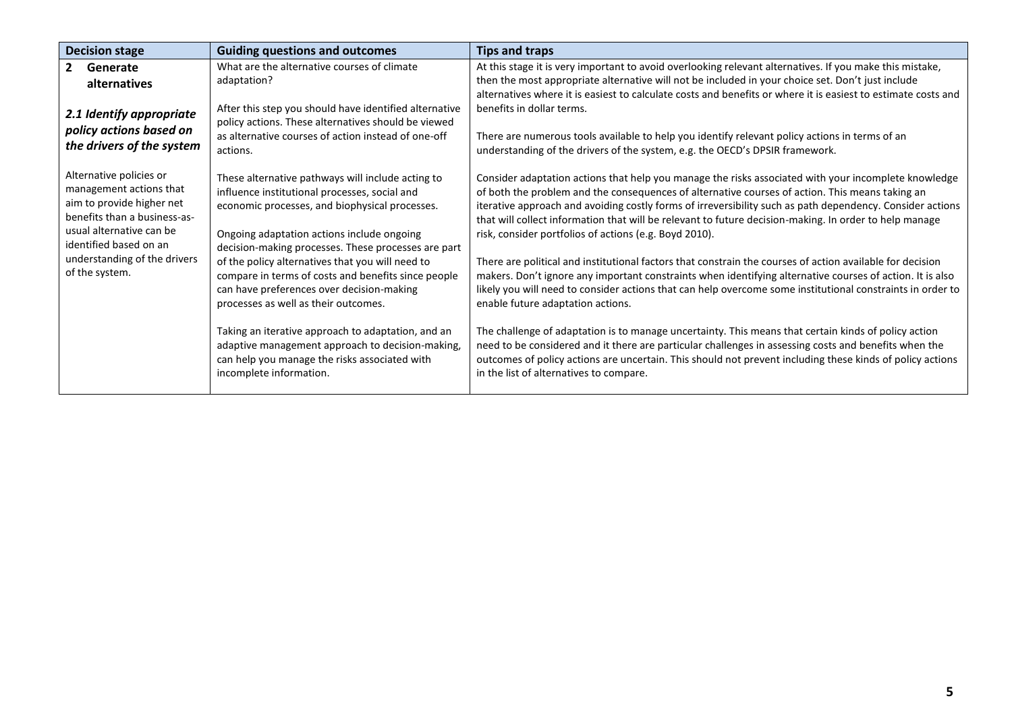| <b>Decision stage</b>                                                                                                                                                 | <b>Guiding questions and outcomes</b>                                                                                                                                                                                                                     | <b>Tips and traps</b>                                                                                                                                                                                                                                                                                                                                                                                                                                                                    |
|-----------------------------------------------------------------------------------------------------------------------------------------------------------------------|-----------------------------------------------------------------------------------------------------------------------------------------------------------------------------------------------------------------------------------------------------------|------------------------------------------------------------------------------------------------------------------------------------------------------------------------------------------------------------------------------------------------------------------------------------------------------------------------------------------------------------------------------------------------------------------------------------------------------------------------------------------|
| $2^{\circ}$<br>Generate<br><b>alternatives</b>                                                                                                                        | What are the alternative courses of climate<br>adaptation?                                                                                                                                                                                                | At this stage it is very important to avoid overlooking relevant alternatives. If you make this mistake,<br>then the most appropriate alternative will not be included in your choice set. Don't just include                                                                                                                                                                                                                                                                            |
| 2.1 Identify appropriate<br>policy actions based on<br>the drivers of the system                                                                                      | After this step you should have identified alternative<br>policy actions. These alternatives should be viewed<br>as alternative courses of action instead of one-off<br>actions.                                                                          | alternatives where it is easiest to calculate costs and benefits or where it is easiest to estimate costs and<br>benefits in dollar terms.<br>There are numerous tools available to help you identify relevant policy actions in terms of an<br>understanding of the drivers of the system, e.g. the OECD's DPSIR framework.                                                                                                                                                             |
| Alternative policies or<br>management actions that<br>aim to provide higher net<br>benefits than a business-as-<br>usual alternative can be<br>identified based on an | These alternative pathways will include acting to<br>influence institutional processes, social and<br>economic processes, and biophysical processes.<br>Ongoing adaptation actions include ongoing<br>decision-making processes. These processes are part | Consider adaptation actions that help you manage the risks associated with your incomplete knowledge<br>of both the problem and the consequences of alternative courses of action. This means taking an<br>iterative approach and avoiding costly forms of irreversibility such as path dependency. Consider actions<br>that will collect information that will be relevant to future decision-making. In order to help manage<br>risk, consider portfolios of actions (e.g. Boyd 2010). |
| understanding of the drivers<br>of the system.                                                                                                                        | of the policy alternatives that you will need to<br>compare in terms of costs and benefits since people<br>can have preferences over decision-making<br>processes as well as their outcomes.                                                              | There are political and institutional factors that constrain the courses of action available for decision<br>makers. Don't ignore any important constraints when identifying alternative courses of action. It is also<br>likely you will need to consider actions that can help overcome some institutional constraints in order to<br>enable future adaptation actions.                                                                                                                |
|                                                                                                                                                                       | Taking an iterative approach to adaptation, and an<br>adaptive management approach to decision-making,<br>can help you manage the risks associated with<br>incomplete information.                                                                        | The challenge of adaptation is to manage uncertainty. This means that certain kinds of policy action<br>need to be considered and it there are particular challenges in assessing costs and benefits when the<br>outcomes of policy actions are uncertain. This should not prevent including these kinds of policy actions<br>in the list of alternatives to compare.                                                                                                                    |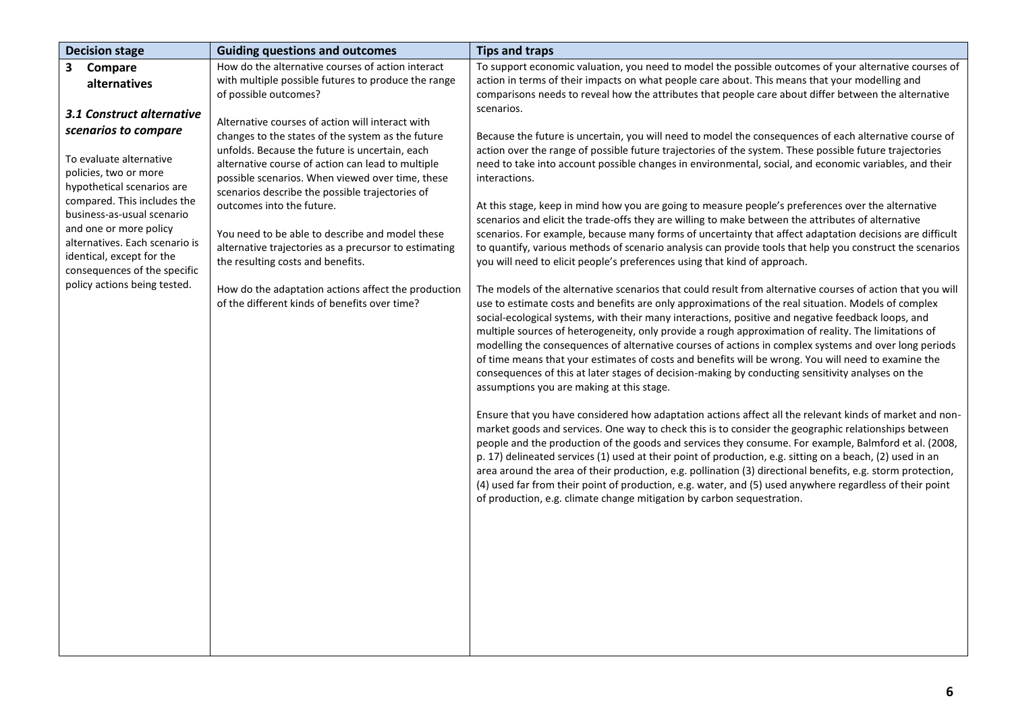| <b>Decision stage</b>                                | <b>Guiding questions and outcomes</b>                 | <b>Tips and traps</b>                                                                                       |
|------------------------------------------------------|-------------------------------------------------------|-------------------------------------------------------------------------------------------------------------|
| 3<br>Compare                                         | How do the alternative courses of action interact     | To support economic valuation, you need to model the possible outcomes of your alternative courses of       |
| alternatives                                         | with multiple possible futures to produce the range   | action in terms of their impacts on what people care about. This means that your modelling and              |
|                                                      | of possible outcomes?                                 | comparisons needs to reveal how the attributes that people care about differ between the alternative        |
| 3.1 Construct alternative                            | Alternative courses of action will interact with      | scenarios.                                                                                                  |
| scenarios to compare                                 | changes to the states of the system as the future     | Because the future is uncertain, you will need to model the consequences of each alternative course of      |
|                                                      | unfolds. Because the future is uncertain, each        | action over the range of possible future trajectories of the system. These possible future trajectories     |
| To evaluate alternative                              | alternative course of action can lead to multiple     | need to take into account possible changes in environmental, social, and economic variables, and their      |
| policies, two or more                                | possible scenarios. When viewed over time, these      | interactions.                                                                                               |
| hypothetical scenarios are                           | scenarios describe the possible trajectories of       |                                                                                                             |
| compared. This includes the                          | outcomes into the future.                             | At this stage, keep in mind how you are going to measure people's preferences over the alternative          |
| business-as-usual scenario<br>and one or more policy |                                                       | scenarios and elicit the trade-offs they are willing to make between the attributes of alternative          |
| alternatives. Each scenario is                       | You need to be able to describe and model these       | scenarios. For example, because many forms of uncertainty that affect adaptation decisions are difficult    |
| identical, except for the                            | alternative trajectories as a precursor to estimating | to quantify, various methods of scenario analysis can provide tools that help you construct the scenarios   |
| consequences of the specific                         | the resulting costs and benefits.                     | you will need to elicit people's preferences using that kind of approach.                                   |
| policy actions being tested.                         | How do the adaptation actions affect the production   | The models of the alternative scenarios that could result from alternative courses of action that you will  |
|                                                      | of the different kinds of benefits over time?         | use to estimate costs and benefits are only approximations of the real situation. Models of complex         |
|                                                      |                                                       | social-ecological systems, with their many interactions, positive and negative feedback loops, and          |
|                                                      |                                                       | multiple sources of heterogeneity, only provide a rough approximation of reality. The limitations of        |
|                                                      |                                                       | modelling the consequences of alternative courses of actions in complex systems and over long periods       |
|                                                      |                                                       | of time means that your estimates of costs and benefits will be wrong. You will need to examine the         |
|                                                      |                                                       | consequences of this at later stages of decision-making by conducting sensitivity analyses on the           |
|                                                      |                                                       | assumptions you are making at this stage.                                                                   |
|                                                      |                                                       | Ensure that you have considered how adaptation actions affect all the relevant kinds of market and non-     |
|                                                      |                                                       | market goods and services. One way to check this is to consider the geographic relationships between        |
|                                                      |                                                       | people and the production of the goods and services they consume. For example, Balmford et al. (2008,       |
|                                                      |                                                       | p. 17) delineated services (1) used at their point of production, e.g. sitting on a beach, (2) used in an   |
|                                                      |                                                       | area around the area of their production, e.g. pollination (3) directional benefits, e.g. storm protection, |
|                                                      |                                                       | (4) used far from their point of production, e.g. water, and (5) used anywhere regardless of their point    |
|                                                      |                                                       | of production, e.g. climate change mitigation by carbon sequestration.                                      |
|                                                      |                                                       |                                                                                                             |
|                                                      |                                                       |                                                                                                             |
|                                                      |                                                       |                                                                                                             |
|                                                      |                                                       |                                                                                                             |
|                                                      |                                                       |                                                                                                             |
|                                                      |                                                       |                                                                                                             |
|                                                      |                                                       |                                                                                                             |
|                                                      |                                                       |                                                                                                             |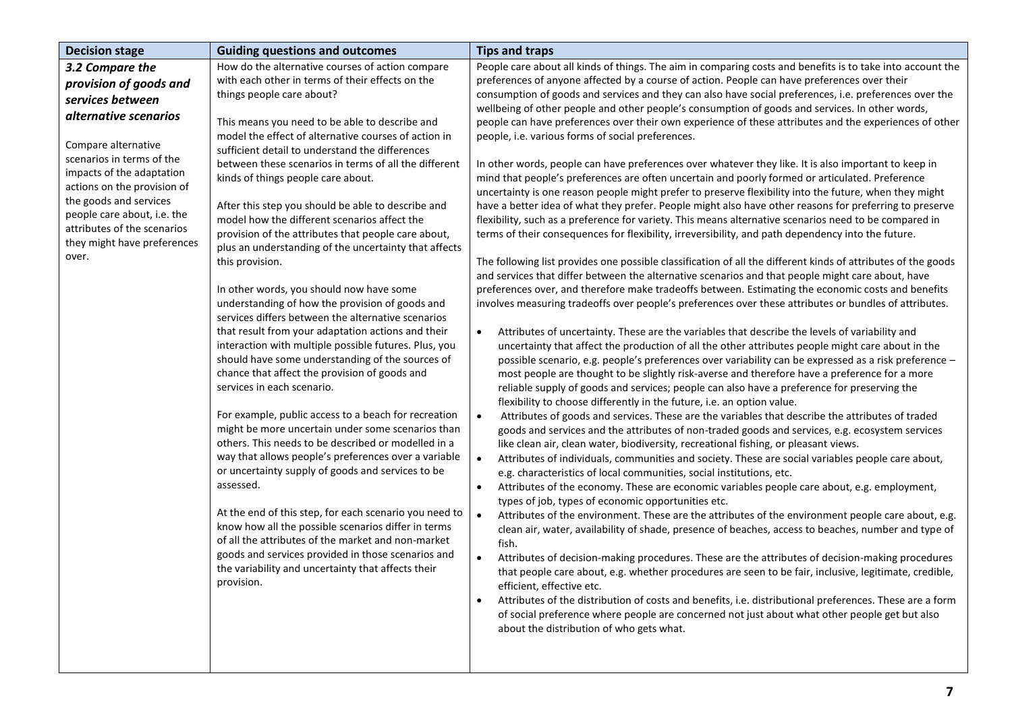| <b>Decision stage</b>                                                                                                                                                                                                                                                                                                                  | <b>Guiding questions and outcomes</b>                                                                                                                                                                                                                                                                                                                                                                                                                                                                                                                                                                                                                                                                                                                                                                                                                                                                                                                                                                                                                                                                                                                                                                                                                                                                                                                                                                                                                                                                                                                                                                                                        | <b>Tips and traps</b>                                                                                                                                                                                                                                                                                                                                                                                                                                                                                                                                                                                                                                                                                                                                                                                                                                                                                                                                                                                                                                                                                                                                                                                                                                                                                                                                                                                                                                                                                                                                                                                                                                                                                                                                                                                                                                                                                                                                                                                                                                                                                                                                                                                                                                                                                                                                                                                                                                                                                                                                                                                                                                                                                                                                                                                                                                                                                                                                                                                                                                                                                                                                                                                                                                                                                                                                                                                                                                                                                                                                                                                                                                                                                                     |
|----------------------------------------------------------------------------------------------------------------------------------------------------------------------------------------------------------------------------------------------------------------------------------------------------------------------------------------|----------------------------------------------------------------------------------------------------------------------------------------------------------------------------------------------------------------------------------------------------------------------------------------------------------------------------------------------------------------------------------------------------------------------------------------------------------------------------------------------------------------------------------------------------------------------------------------------------------------------------------------------------------------------------------------------------------------------------------------------------------------------------------------------------------------------------------------------------------------------------------------------------------------------------------------------------------------------------------------------------------------------------------------------------------------------------------------------------------------------------------------------------------------------------------------------------------------------------------------------------------------------------------------------------------------------------------------------------------------------------------------------------------------------------------------------------------------------------------------------------------------------------------------------------------------------------------------------------------------------------------------------|---------------------------------------------------------------------------------------------------------------------------------------------------------------------------------------------------------------------------------------------------------------------------------------------------------------------------------------------------------------------------------------------------------------------------------------------------------------------------------------------------------------------------------------------------------------------------------------------------------------------------------------------------------------------------------------------------------------------------------------------------------------------------------------------------------------------------------------------------------------------------------------------------------------------------------------------------------------------------------------------------------------------------------------------------------------------------------------------------------------------------------------------------------------------------------------------------------------------------------------------------------------------------------------------------------------------------------------------------------------------------------------------------------------------------------------------------------------------------------------------------------------------------------------------------------------------------------------------------------------------------------------------------------------------------------------------------------------------------------------------------------------------------------------------------------------------------------------------------------------------------------------------------------------------------------------------------------------------------------------------------------------------------------------------------------------------------------------------------------------------------------------------------------------------------------------------------------------------------------------------------------------------------------------------------------------------------------------------------------------------------------------------------------------------------------------------------------------------------------------------------------------------------------------------------------------------------------------------------------------------------------------------------------------------------------------------------------------------------------------------------------------------------------------------------------------------------------------------------------------------------------------------------------------------------------------------------------------------------------------------------------------------------------------------------------------------------------------------------------------------------------------------------------------------------------------------------------------------------------------------------------------------------------------------------------------------------------------------------------------------------------------------------------------------------------------------------------------------------------------------------------------------------------------------------------------------------------------------------------------------------------------------------------------------------------------------------------------------------|
| 3.2 Compare the<br>provision of goods and<br>services between<br>alternative scenarios<br>Compare alternative<br>scenarios in terms of the<br>impacts of the adaptation<br>actions on the provision of<br>the goods and services<br>people care about, i.e. the<br>attributes of the scenarios<br>they might have preferences<br>over. | How do the alternative courses of action compare<br>with each other in terms of their effects on the<br>things people care about?<br>This means you need to be able to describe and<br>model the effect of alternative courses of action in<br>sufficient detail to understand the differences<br>between these scenarios in terms of all the different<br>kinds of things people care about.<br>After this step you should be able to describe and<br>model how the different scenarios affect the<br>provision of the attributes that people care about,<br>plus an understanding of the uncertainty that affects<br>this provision.<br>In other words, you should now have some<br>understanding of how the provision of goods and<br>services differs between the alternative scenarios<br>that result from your adaptation actions and their<br>interaction with multiple possible futures. Plus, you<br>should have some understanding of the sources of<br>chance that affect the provision of goods and<br>services in each scenario.<br>For example, public access to a beach for recreation<br>might be more uncertain under some scenarios than<br>others. This needs to be described or modelled in a<br>way that allows people's preferences over a variable<br>or uncertainty supply of goods and services to be<br>assessed.<br>At the end of this step, for each scenario you need to<br>know how all the possible scenarios differ in terms<br>of all the attributes of the market and non-market<br>goods and services provided in those scenarios and<br>the variability and uncertainty that affects their<br>provision. | People care about all kinds of things. The aim in comparing costs and benefits is to take into account the<br>preferences of anyone affected by a course of action. People can have preferences over their<br>consumption of goods and services and they can also have social preferences, i.e. preferences over the<br>wellbeing of other people and other people's consumption of goods and services. In other words,<br>people can have preferences over their own experience of these attributes and the experiences of other<br>people, i.e. various forms of social preferences.<br>In other words, people can have preferences over whatever they like. It is also important to keep in<br>mind that people's preferences are often uncertain and poorly formed or articulated. Preference<br>uncertainty is one reason people might prefer to preserve flexibility into the future, when they might<br>have a better idea of what they prefer. People might also have other reasons for preferring to preserve<br>flexibility, such as a preference for variety. This means alternative scenarios need to be compared in<br>terms of their consequences for flexibility, irreversibility, and path dependency into the future.<br>The following list provides one possible classification of all the different kinds of attributes of the goods<br>and services that differ between the alternative scenarios and that people might care about, have<br>preferences over, and therefore make tradeoffs between. Estimating the economic costs and benefits<br>involves measuring tradeoffs over people's preferences over these attributes or bundles of attributes.<br>Attributes of uncertainty. These are the variables that describe the levels of variability and<br>$\bullet$<br>uncertainty that affect the production of all the other attributes people might care about in the<br>possible scenario, e.g. people's preferences over variability can be expressed as a risk preference -<br>most people are thought to be slightly risk-averse and therefore have a preference for a more<br>reliable supply of goods and services; people can also have a preference for preserving the<br>flexibility to choose differently in the future, i.e. an option value.<br>Attributes of goods and services. These are the variables that describe the attributes of traded<br>$\bullet$<br>goods and services and the attributes of non-traded goods and services, e.g. ecosystem services<br>like clean air, clean water, biodiversity, recreational fishing, or pleasant views.<br>$\bullet$<br>Attributes of individuals, communities and society. These are social variables people care about,<br>e.g. characteristics of local communities, social institutions, etc.<br>Attributes of the economy. These are economic variables people care about, e.g. employment,<br>$\bullet$<br>types of job, types of economic opportunities etc.<br>$\bullet$<br>Attributes of the environment. These are the attributes of the environment people care about, e.g.<br>clean air, water, availability of shade, presence of beaches, access to beaches, number and type of<br>fish.<br>Attributes of decision-making procedures. These are the attributes of decision-making procedures<br>$\bullet$<br>that people care about, e.g. whether procedures are seen to be fair, inclusive, legitimate, credible,<br>efficient, effective etc.<br>Attributes of the distribution of costs and benefits, i.e. distributional preferences. These are a form<br>$\bullet$<br>of social preference where people are concerned not just about what other people get but also<br>about the distribution of who gets what. |
|                                                                                                                                                                                                                                                                                                                                        |                                                                                                                                                                                                                                                                                                                                                                                                                                                                                                                                                                                                                                                                                                                                                                                                                                                                                                                                                                                                                                                                                                                                                                                                                                                                                                                                                                                                                                                                                                                                                                                                                                              |                                                                                                                                                                                                                                                                                                                                                                                                                                                                                                                                                                                                                                                                                                                                                                                                                                                                                                                                                                                                                                                                                                                                                                                                                                                                                                                                                                                                                                                                                                                                                                                                                                                                                                                                                                                                                                                                                                                                                                                                                                                                                                                                                                                                                                                                                                                                                                                                                                                                                                                                                                                                                                                                                                                                                                                                                                                                                                                                                                                                                                                                                                                                                                                                                                                                                                                                                                                                                                                                                                                                                                                                                                                                                                                           |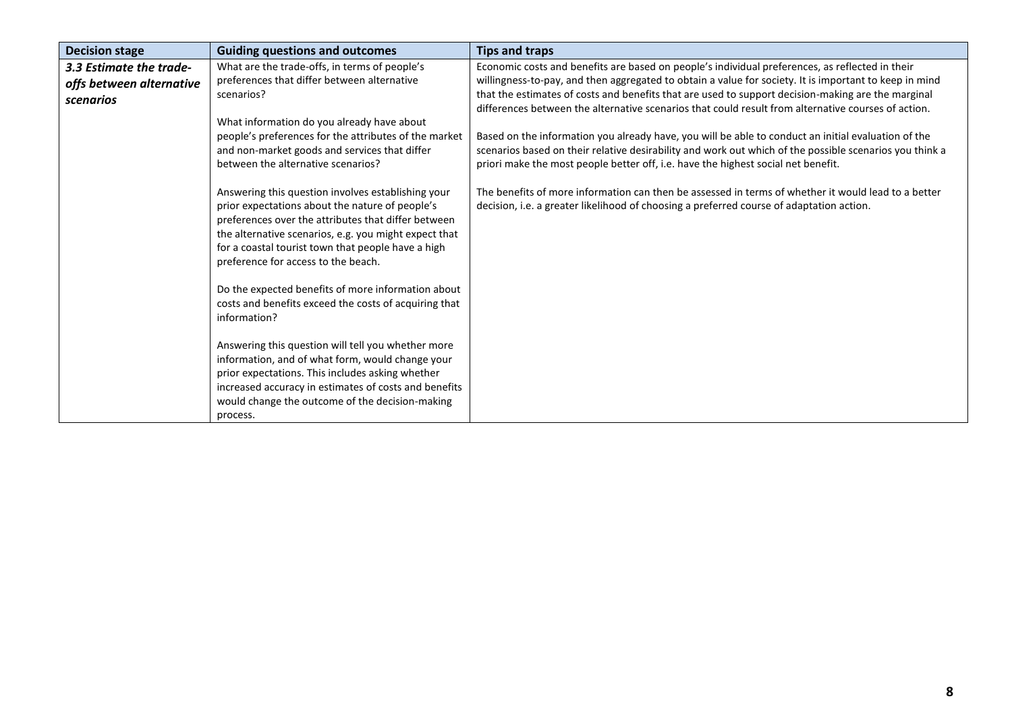| <b>Decision stage</b>    | <b>Guiding questions and outcomes</b>                                                                 | <b>Tips and traps</b>                                                                                                                                                                           |
|--------------------------|-------------------------------------------------------------------------------------------------------|-------------------------------------------------------------------------------------------------------------------------------------------------------------------------------------------------|
| 3.3 Estimate the trade-  | What are the trade-offs, in terms of people's                                                         | Economic costs and benefits are based on people's individual preferences, as reflected in their                                                                                                 |
| offs between alternative | preferences that differ between alternative                                                           | willingness-to-pay, and then aggregated to obtain a value for society. It is important to keep in mind                                                                                          |
| scenarios                | scenarios?                                                                                            | that the estimates of costs and benefits that are used to support decision-making are the marginal                                                                                              |
|                          |                                                                                                       | differences between the alternative scenarios that could result from alternative courses of action.                                                                                             |
|                          | What information do you already have about                                                            |                                                                                                                                                                                                 |
|                          | people's preferences for the attributes of the market                                                 | Based on the information you already have, you will be able to conduct an initial evaluation of the                                                                                             |
|                          | and non-market goods and services that differ                                                         | scenarios based on their relative desirability and work out which of the possible scenarios you think a                                                                                         |
|                          | between the alternative scenarios?                                                                    | priori make the most people better off, i.e. have the highest social net benefit.                                                                                                               |
|                          | Answering this question involves establishing your<br>prior expectations about the nature of people's | The benefits of more information can then be assessed in terms of whether it would lead to a better<br>decision, i.e. a greater likelihood of choosing a preferred course of adaptation action. |
|                          | preferences over the attributes that differ between                                                   |                                                                                                                                                                                                 |
|                          | the alternative scenarios, e.g. you might expect that                                                 |                                                                                                                                                                                                 |
|                          | for a coastal tourist town that people have a high                                                    |                                                                                                                                                                                                 |
|                          | preference for access to the beach.                                                                   |                                                                                                                                                                                                 |
|                          |                                                                                                       |                                                                                                                                                                                                 |
|                          | Do the expected benefits of more information about                                                    |                                                                                                                                                                                                 |
|                          | costs and benefits exceed the costs of acquiring that                                                 |                                                                                                                                                                                                 |
|                          | information?                                                                                          |                                                                                                                                                                                                 |
|                          |                                                                                                       |                                                                                                                                                                                                 |
|                          | Answering this question will tell you whether more                                                    |                                                                                                                                                                                                 |
|                          | information, and of what form, would change your                                                      |                                                                                                                                                                                                 |
|                          | prior expectations. This includes asking whether                                                      |                                                                                                                                                                                                 |
|                          | increased accuracy in estimates of costs and benefits                                                 |                                                                                                                                                                                                 |
|                          | would change the outcome of the decision-making                                                       |                                                                                                                                                                                                 |
|                          | process.                                                                                              |                                                                                                                                                                                                 |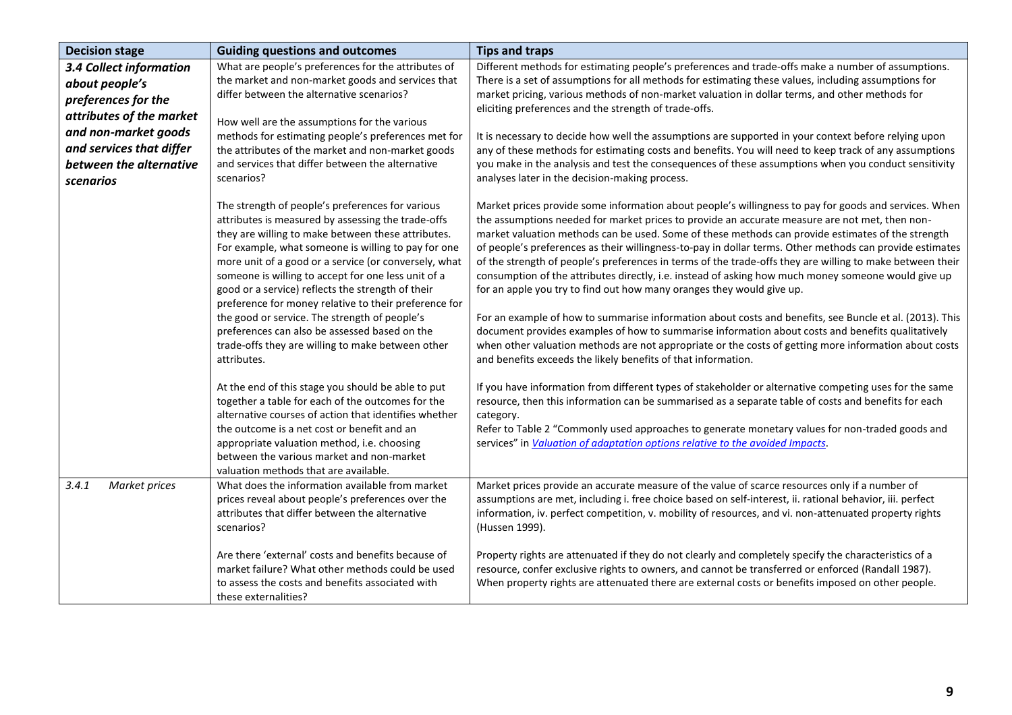| <b>Decision stage</b>                                                                                                       | <b>Guiding questions and outcomes</b>                                                                                                                                                                                                                                                                                                                                                                                                                                                                                                                                                                                   | <b>Tips and traps</b>                                                                                                                                                                                                                                                                                                                                                                                                                                                                                                                                                                                                                                                                                                                                                                                                                                                                                                                                                                                                                                                                                           |
|-----------------------------------------------------------------------------------------------------------------------------|-------------------------------------------------------------------------------------------------------------------------------------------------------------------------------------------------------------------------------------------------------------------------------------------------------------------------------------------------------------------------------------------------------------------------------------------------------------------------------------------------------------------------------------------------------------------------------------------------------------------------|-----------------------------------------------------------------------------------------------------------------------------------------------------------------------------------------------------------------------------------------------------------------------------------------------------------------------------------------------------------------------------------------------------------------------------------------------------------------------------------------------------------------------------------------------------------------------------------------------------------------------------------------------------------------------------------------------------------------------------------------------------------------------------------------------------------------------------------------------------------------------------------------------------------------------------------------------------------------------------------------------------------------------------------------------------------------------------------------------------------------|
| <b>3.4 Collect information</b><br>about people's<br>preferences for the<br>attributes of the market<br>and non-market goods | What are people's preferences for the attributes of<br>the market and non-market goods and services that<br>differ between the alternative scenarios?<br>How well are the assumptions for the various<br>methods for estimating people's preferences met for                                                                                                                                                                                                                                                                                                                                                            | Different methods for estimating people's preferences and trade-offs make a number of assumptions.<br>There is a set of assumptions for all methods for estimating these values, including assumptions for<br>market pricing, various methods of non-market valuation in dollar terms, and other methods for<br>eliciting preferences and the strength of trade-offs.<br>It is necessary to decide how well the assumptions are supported in your context before relying upon                                                                                                                                                                                                                                                                                                                                                                                                                                                                                                                                                                                                                                   |
| and services that differ<br>between the alternative<br>scenarios                                                            | the attributes of the market and non-market goods<br>and services that differ between the alternative<br>scenarios?                                                                                                                                                                                                                                                                                                                                                                                                                                                                                                     | any of these methods for estimating costs and benefits. You will need to keep track of any assumptions<br>you make in the analysis and test the consequences of these assumptions when you conduct sensitivity<br>analyses later in the decision-making process.                                                                                                                                                                                                                                                                                                                                                                                                                                                                                                                                                                                                                                                                                                                                                                                                                                                |
|                                                                                                                             | The strength of people's preferences for various<br>attributes is measured by assessing the trade-offs<br>they are willing to make between these attributes.<br>For example, what someone is willing to pay for one<br>more unit of a good or a service (or conversely, what<br>someone is willing to accept for one less unit of a<br>good or a service) reflects the strength of their<br>preference for money relative to their preference for<br>the good or service. The strength of people's<br>preferences can also be assessed based on the<br>trade-offs they are willing to make between other<br>attributes. | Market prices provide some information about people's willingness to pay for goods and services. When<br>the assumptions needed for market prices to provide an accurate measure are not met, then non-<br>market valuation methods can be used. Some of these methods can provide estimates of the strength<br>of people's preferences as their willingness-to-pay in dollar terms. Other methods can provide estimates<br>of the strength of people's preferences in terms of the trade-offs they are willing to make between their<br>consumption of the attributes directly, i.e. instead of asking how much money someone would give up<br>for an apple you try to find out how many oranges they would give up.<br>For an example of how to summarise information about costs and benefits, see Buncle et al. (2013). This<br>document provides examples of how to summarise information about costs and benefits qualitatively<br>when other valuation methods are not appropriate or the costs of getting more information about costs<br>and benefits exceeds the likely benefits of that information. |
|                                                                                                                             | At the end of this stage you should be able to put<br>together a table for each of the outcomes for the<br>alternative courses of action that identifies whether<br>the outcome is a net cost or benefit and an<br>appropriate valuation method, i.e. choosing<br>between the various market and non-market<br>valuation methods that are available.                                                                                                                                                                                                                                                                    | If you have information from different types of stakeholder or alternative competing uses for the same<br>resource, then this information can be summarised as a separate table of costs and benefits for each<br>category.<br>Refer to Table 2 "Commonly used approaches to generate monetary values for non-traded goods and<br>services" in Valuation of adaptation options relative to the avoided Impacts.                                                                                                                                                                                                                                                                                                                                                                                                                                                                                                                                                                                                                                                                                                 |
| 3.4.1<br>Market prices                                                                                                      | What does the information available from market<br>prices reveal about people's preferences over the<br>attributes that differ between the alternative<br>scenarios?                                                                                                                                                                                                                                                                                                                                                                                                                                                    | Market prices provide an accurate measure of the value of scarce resources only if a number of<br>assumptions are met, including i. free choice based on self-interest, ii. rational behavior, iii. perfect<br>information, iv. perfect competition, v. mobility of resources, and vi. non-attenuated property rights<br>(Hussen 1999).                                                                                                                                                                                                                                                                                                                                                                                                                                                                                                                                                                                                                                                                                                                                                                         |
|                                                                                                                             | Are there 'external' costs and benefits because of<br>market failure? What other methods could be used<br>to assess the costs and benefits associated with<br>these externalities?                                                                                                                                                                                                                                                                                                                                                                                                                                      | Property rights are attenuated if they do not clearly and completely specify the characteristics of a<br>resource, confer exclusive rights to owners, and cannot be transferred or enforced (Randall 1987).<br>When property rights are attenuated there are external costs or benefits imposed on other people.                                                                                                                                                                                                                                                                                                                                                                                                                                                                                                                                                                                                                                                                                                                                                                                                |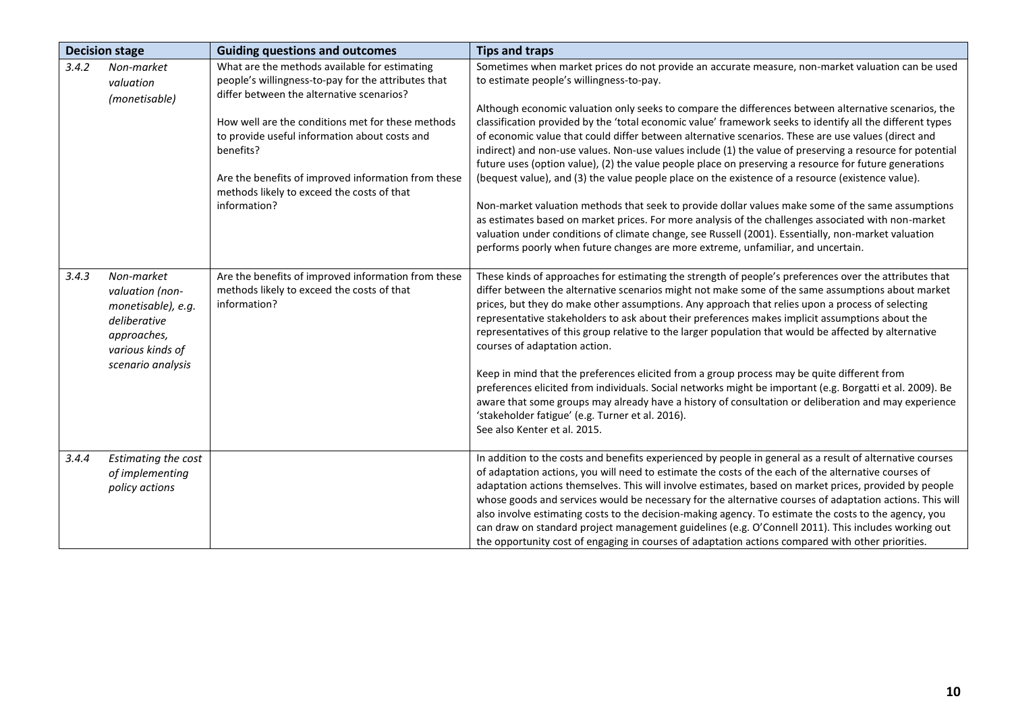|       | <b>Decision stage</b>                                                                                  | <b>Guiding questions and outcomes</b>                                                                                                                                                                                                | <b>Tips and traps</b>                                                                                                                                                                                                                                                                                                                                                                                                                                                                                                                                                                                                                                                                                                                                        |
|-------|--------------------------------------------------------------------------------------------------------|--------------------------------------------------------------------------------------------------------------------------------------------------------------------------------------------------------------------------------------|--------------------------------------------------------------------------------------------------------------------------------------------------------------------------------------------------------------------------------------------------------------------------------------------------------------------------------------------------------------------------------------------------------------------------------------------------------------------------------------------------------------------------------------------------------------------------------------------------------------------------------------------------------------------------------------------------------------------------------------------------------------|
| 3.4.2 | Non-market<br>valuation                                                                                | What are the methods available for estimating<br>people's willingness-to-pay for the attributes that<br>differ between the alternative scenarios?                                                                                    | Sometimes when market prices do not provide an accurate measure, non-market valuation can be used<br>to estimate people's willingness-to-pay.                                                                                                                                                                                                                                                                                                                                                                                                                                                                                                                                                                                                                |
|       | (monetisable)                                                                                          | How well are the conditions met for these methods<br>to provide useful information about costs and<br>benefits?<br>Are the benefits of improved information from these<br>methods likely to exceed the costs of that<br>information? | Although economic valuation only seeks to compare the differences between alternative scenarios, the<br>classification provided by the 'total economic value' framework seeks to identify all the different types<br>of economic value that could differ between alternative scenarios. These are use values (direct and<br>indirect) and non-use values. Non-use values include (1) the value of preserving a resource for potential<br>future uses (option value), (2) the value people place on preserving a resource for future generations<br>(bequest value), and (3) the value people place on the existence of a resource (existence value).<br>Non-market valuation methods that seek to provide dollar values make some of the same assumptions    |
|       |                                                                                                        |                                                                                                                                                                                                                                      | as estimates based on market prices. For more analysis of the challenges associated with non-market<br>valuation under conditions of climate change, see Russell (2001). Essentially, non-market valuation<br>performs poorly when future changes are more extreme, unfamiliar, and uncertain.                                                                                                                                                                                                                                                                                                                                                                                                                                                               |
| 3.4.3 | Non-market<br>valuation (non-<br>monetisable), e.g.<br>deliberative<br>approaches,<br>various kinds of | Are the benefits of improved information from these<br>methods likely to exceed the costs of that<br>information?                                                                                                                    | These kinds of approaches for estimating the strength of people's preferences over the attributes that<br>differ between the alternative scenarios might not make some of the same assumptions about market<br>prices, but they do make other assumptions. Any approach that relies upon a process of selecting<br>representative stakeholders to ask about their preferences makes implicit assumptions about the<br>representatives of this group relative to the larger population that would be affected by alternative<br>courses of adaptation action.                                                                                                                                                                                                 |
|       | scenario analysis                                                                                      |                                                                                                                                                                                                                                      | Keep in mind that the preferences elicited from a group process may be quite different from<br>preferences elicited from individuals. Social networks might be important (e.g. Borgatti et al. 2009). Be<br>aware that some groups may already have a history of consultation or deliberation and may experience<br>'stakeholder fatigue' (e.g. Turner et al. 2016).<br>See also Kenter et al. 2015.                                                                                                                                                                                                                                                                                                                                                         |
| 3.4.4 | Estimating the cost<br>of implementing<br>policy actions                                               |                                                                                                                                                                                                                                      | In addition to the costs and benefits experienced by people in general as a result of alternative courses<br>of adaptation actions, you will need to estimate the costs of the each of the alternative courses of<br>adaptation actions themselves. This will involve estimates, based on market prices, provided by people<br>whose goods and services would be necessary for the alternative courses of adaptation actions. This will<br>also involve estimating costs to the decision-making agency. To estimate the costs to the agency, you<br>can draw on standard project management guidelines (e.g. O'Connell 2011). This includes working out<br>the opportunity cost of engaging in courses of adaptation actions compared with other priorities. |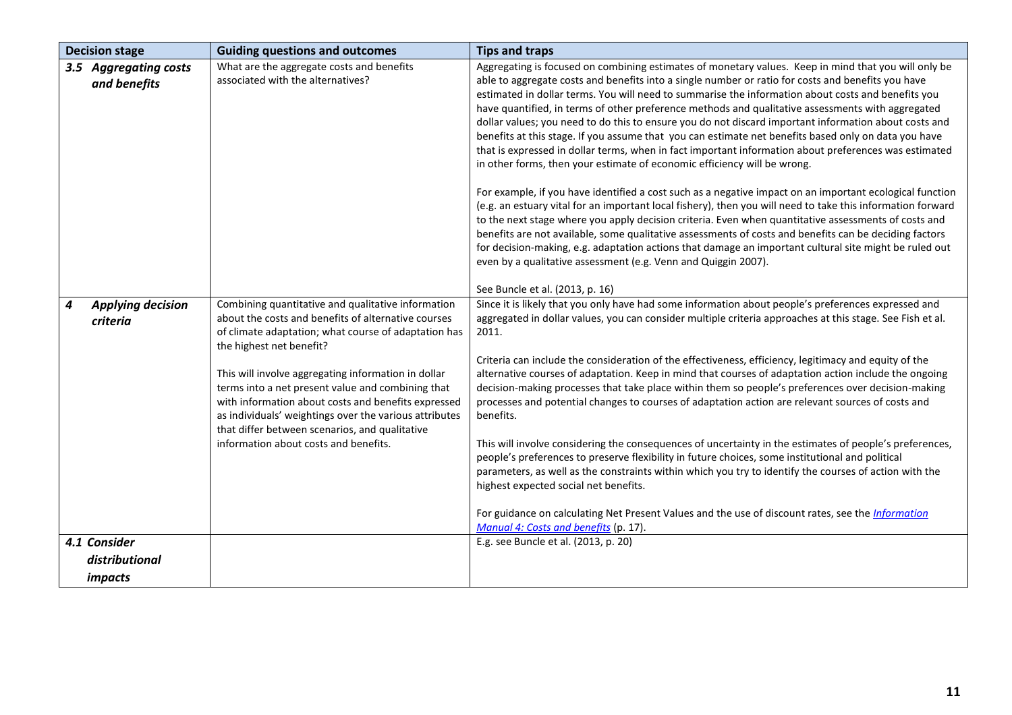|   | <b>Decision stage</b>                 | <b>Guiding questions and outcomes</b>                                                                                                                                                                                                                                                                                                                                                                                                                                                                                 | <b>Tips and traps</b>                                                                                                                                                                                                                                                                                                                                                                                                                                                                                                                                                                                                                                                                                                                                                                                                                                                                                                                                                                                                                                                                                                                                                                                                                                                                                                                                                                                                                                                                   |
|---|---------------------------------------|-----------------------------------------------------------------------------------------------------------------------------------------------------------------------------------------------------------------------------------------------------------------------------------------------------------------------------------------------------------------------------------------------------------------------------------------------------------------------------------------------------------------------|-----------------------------------------------------------------------------------------------------------------------------------------------------------------------------------------------------------------------------------------------------------------------------------------------------------------------------------------------------------------------------------------------------------------------------------------------------------------------------------------------------------------------------------------------------------------------------------------------------------------------------------------------------------------------------------------------------------------------------------------------------------------------------------------------------------------------------------------------------------------------------------------------------------------------------------------------------------------------------------------------------------------------------------------------------------------------------------------------------------------------------------------------------------------------------------------------------------------------------------------------------------------------------------------------------------------------------------------------------------------------------------------------------------------------------------------------------------------------------------------|
|   | 3.5 Aggregating costs<br>and benefits | What are the aggregate costs and benefits<br>associated with the alternatives?                                                                                                                                                                                                                                                                                                                                                                                                                                        | Aggregating is focused on combining estimates of monetary values. Keep in mind that you will only be<br>able to aggregate costs and benefits into a single number or ratio for costs and benefits you have<br>estimated in dollar terms. You will need to summarise the information about costs and benefits you<br>have quantified, in terms of other preference methods and qualitative assessments with aggregated<br>dollar values; you need to do this to ensure you do not discard important information about costs and<br>benefits at this stage. If you assume that you can estimate net benefits based only on data you have<br>that is expressed in dollar terms, when in fact important information about preferences was estimated<br>in other forms, then your estimate of economic efficiency will be wrong.<br>For example, if you have identified a cost such as a negative impact on an important ecological function<br>(e.g. an estuary vital for an important local fishery), then you will need to take this information forward<br>to the next stage where you apply decision criteria. Even when quantitative assessments of costs and<br>benefits are not available, some qualitative assessments of costs and benefits can be deciding factors<br>for decision-making, e.g. adaptation actions that damage an important cultural site might be ruled out<br>even by a qualitative assessment (e.g. Venn and Quiggin 2007).<br>See Buncle et al. (2013, p. 16) |
| 4 | <b>Applying decision</b><br>criteria  | Combining quantitative and qualitative information<br>about the costs and benefits of alternative courses<br>of climate adaptation; what course of adaptation has<br>the highest net benefit?<br>This will involve aggregating information in dollar<br>terms into a net present value and combining that<br>with information about costs and benefits expressed<br>as individuals' weightings over the various attributes<br>that differ between scenarios, and qualitative<br>information about costs and benefits. | Since it is likely that you only have had some information about people's preferences expressed and<br>aggregated in dollar values, you can consider multiple criteria approaches at this stage. See Fish et al.<br>2011.<br>Criteria can include the consideration of the effectiveness, efficiency, legitimacy and equity of the<br>alternative courses of adaptation. Keep in mind that courses of adaptation action include the ongoing<br>decision-making processes that take place within them so people's preferences over decision-making<br>processes and potential changes to courses of adaptation action are relevant sources of costs and<br>benefits.<br>This will involve considering the consequences of uncertainty in the estimates of people's preferences,<br>people's preferences to preserve flexibility in future choices, some institutional and political<br>parameters, as well as the constraints within which you try to identify the courses of action with the<br>highest expected social net benefits.<br>For guidance on calculating Net Present Values and the use of discount rates, see the <i>Information</i><br>Manual 4: Costs and benefits (p. 17).                                                                                                                                                                                                                                                                                              |
|   | 4.1 Consider                          |                                                                                                                                                                                                                                                                                                                                                                                                                                                                                                                       | E.g. see Buncle et al. (2013, p. 20)                                                                                                                                                                                                                                                                                                                                                                                                                                                                                                                                                                                                                                                                                                                                                                                                                                                                                                                                                                                                                                                                                                                                                                                                                                                                                                                                                                                                                                                    |
|   | distributional                        |                                                                                                                                                                                                                                                                                                                                                                                                                                                                                                                       |                                                                                                                                                                                                                                                                                                                                                                                                                                                                                                                                                                                                                                                                                                                                                                                                                                                                                                                                                                                                                                                                                                                                                                                                                                                                                                                                                                                                                                                                                         |
|   | <i>impacts</i>                        |                                                                                                                                                                                                                                                                                                                                                                                                                                                                                                                       |                                                                                                                                                                                                                                                                                                                                                                                                                                                                                                                                                                                                                                                                                                                                                                                                                                                                                                                                                                                                                                                                                                                                                                                                                                                                                                                                                                                                                                                                                         |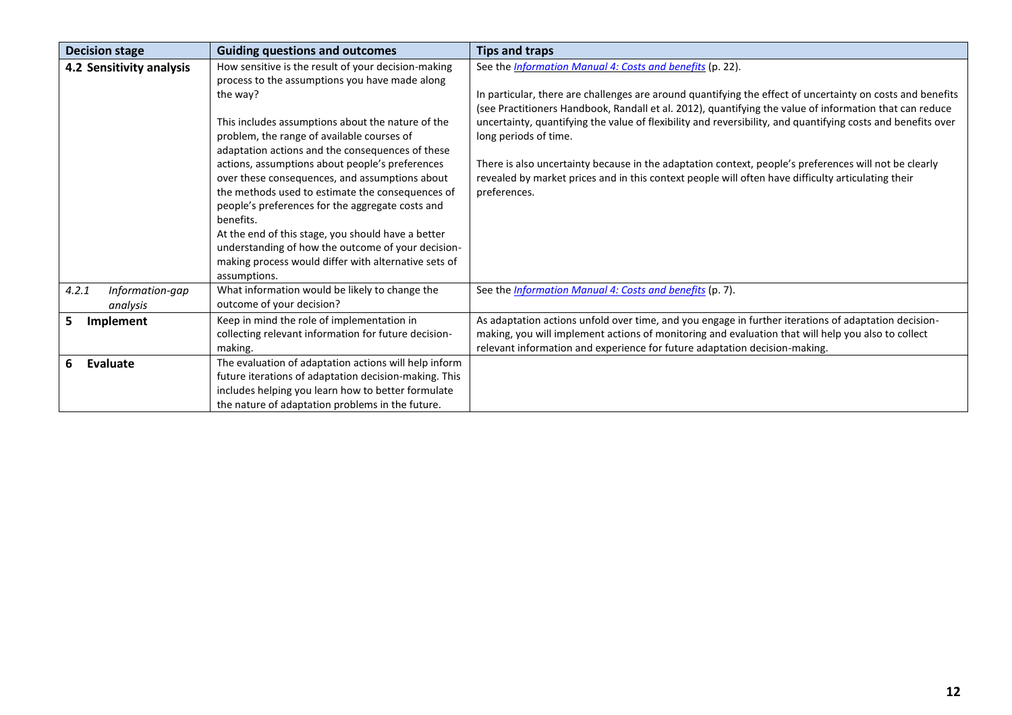| <b>Decision stage</b>                | <b>Guiding questions and outcomes</b>                                                                                                                                                                                                                                                                                                                                                  | <b>Tips and traps</b>                                                                                                                                                                                                                                                                    |
|--------------------------------------|----------------------------------------------------------------------------------------------------------------------------------------------------------------------------------------------------------------------------------------------------------------------------------------------------------------------------------------------------------------------------------------|------------------------------------------------------------------------------------------------------------------------------------------------------------------------------------------------------------------------------------------------------------------------------------------|
| 4.2 Sensitivity analysis             | How sensitive is the result of your decision-making<br>process to the assumptions you have made along                                                                                                                                                                                                                                                                                  | See the Information Manual 4: Costs and benefits (p. 22).                                                                                                                                                                                                                                |
|                                      | the way?                                                                                                                                                                                                                                                                                                                                                                               | In particular, there are challenges are around quantifying the effect of uncertainty on costs and benefits<br>(see Practitioners Handbook, Randall et al. 2012), quantifying the value of information that can reduce                                                                    |
|                                      | This includes assumptions about the nature of the<br>problem, the range of available courses of                                                                                                                                                                                                                                                                                        | uncertainty, quantifying the value of flexibility and reversibility, and quantifying costs and benefits over<br>long periods of time.                                                                                                                                                    |
|                                      | adaptation actions and the consequences of these<br>actions, assumptions about people's preferences<br>over these consequences, and assumptions about<br>the methods used to estimate the consequences of<br>people's preferences for the aggregate costs and<br>benefits.<br>At the end of this stage, you should have a better<br>understanding of how the outcome of your decision- | There is also uncertainty because in the adaptation context, people's preferences will not be clearly<br>revealed by market prices and in this context people will often have difficulty articulating their<br>preferences.                                                              |
|                                      | making process would differ with alternative sets of<br>assumptions.                                                                                                                                                                                                                                                                                                                   |                                                                                                                                                                                                                                                                                          |
| 4.2.1<br>Information-gap<br>analysis | What information would be likely to change the<br>outcome of your decision?                                                                                                                                                                                                                                                                                                            | See the <i>Information Manual 4: Costs and benefits</i> (p. 7).                                                                                                                                                                                                                          |
| 5<br>Implement                       | Keep in mind the role of implementation in<br>collecting relevant information for future decision-<br>making.                                                                                                                                                                                                                                                                          | As adaptation actions unfold over time, and you engage in further iterations of adaptation decision-<br>making, you will implement actions of monitoring and evaluation that will help you also to collect<br>relevant information and experience for future adaptation decision-making. |
| 6<br><b>Evaluate</b>                 | The evaluation of adaptation actions will help inform<br>future iterations of adaptation decision-making. This<br>includes helping you learn how to better formulate<br>the nature of adaptation problems in the future.                                                                                                                                                               |                                                                                                                                                                                                                                                                                          |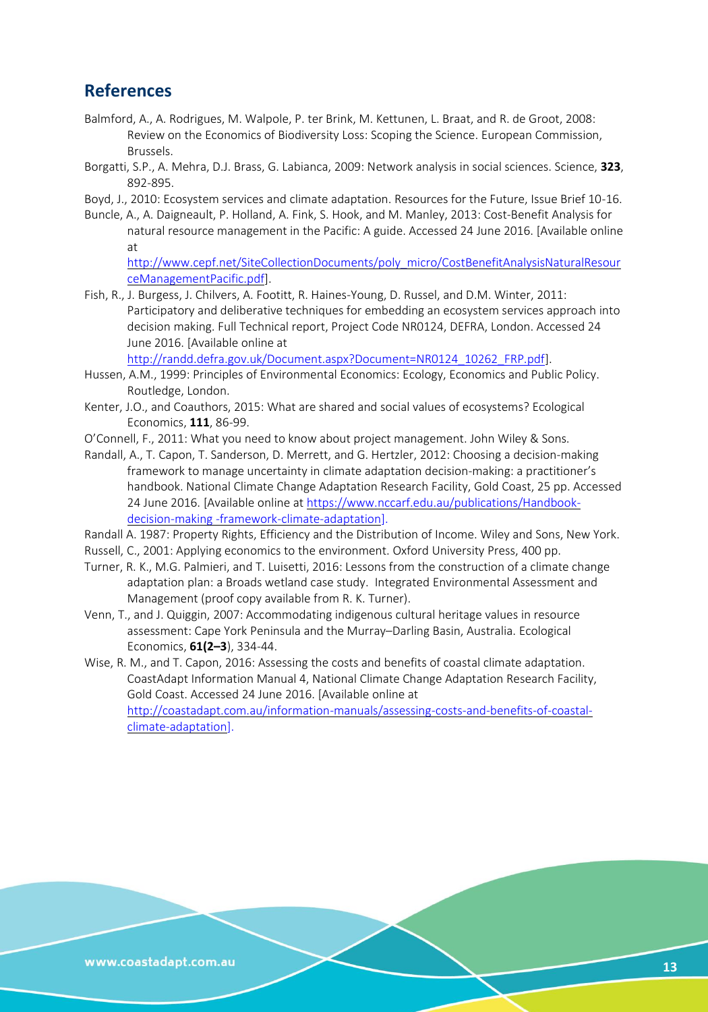## **References**

- Balmford, A., A. Rodrigues, M. Walpole, P. ter Brink, M. Kettunen, L. Braat, and R. de Groot, 2008: Review on the Economics of Biodiversity Loss: Scoping the Science. European Commission, Brussels.
- Borgatti, S.P., A. Mehra, D.J. Brass, G. Labianca, 2009: Network analysis in social sciences. Science, **323**, 892-895.
- Boyd, J., 2010: Ecosystem services and climate adaptation. Resources for the Future, Issue Brief 10-16.
- Buncle, A., A. Daigneault, P. Holland, A. Fink, S. Hook, and M. Manley, 2013: Cost-Benefit Analysis for natural resource management in the Pacific: A guide. Accessed 24 June 2016. [Available online at

[http://www.cepf.net/SiteCollectionDocuments/poly\\_micro/CostBenefitAnalysisNaturalResour](http://www.cepf.net/SiteCollectionDocuments/poly_micro/CostBenefitAnalysisNaturalResourceManagementPacific.pdf) [ceManagementPacific.pdf\]](http://www.cepf.net/SiteCollectionDocuments/poly_micro/CostBenefitAnalysisNaturalResourceManagementPacific.pdf).

Fish, R., J. Burgess, J. Chilvers, A. Footitt, R. Haines-Young, D. Russel, and D.M. Winter, 2011: Participatory and deliberative techniques for embedding an ecosystem services approach into decision making. Full Technical report, Project Code NR0124, DEFRA, London. Accessed 24 June 2016. [Available online at

[http://randd.defra.gov.uk/Document.aspx?Document=NR0124\\_10262\\_FRP.pdf\]](http://randd.defra.gov.uk/Document.aspx?Document=NR0124_10262_FRP.pdf).

- Hussen, A.M., 1999: Principles of Environmental Economics: Ecology, Economics and Public Policy. Routledge, London.
- Kenter, J.O., and Coauthors, 2015: What are shared and social values of ecosystems? Ecological Economics, **111**, 86-99.
- O'Connell, F., 2011: What you need to know about project management. John Wiley & Sons.
- Randall, A., T. Capon, T. Sanderson, D. Merrett, and G. Hertzler, 2012: Choosing a decision-making framework to manage uncertainty in climate adaptation decision-making: a practitioner's handbook. National Climate Change Adaptation Research Facility, Gold Coast, 25 pp. Accessed 24 June 2016. [Available online at [https://www.nccarf.edu.au/publications/Handbook](https://www.nccarf.edu.au/publications/Handbook-decision-making-framework-climate-adaptation)decision-making [-framework-climate-adaptation\]](https://www.nccarf.edu.au/publications/Handbook-decision-making-framework-climate-adaptation).
- Randall A. 1987: Property Rights, Efficiency and the Distribution of Income. Wiley and Sons, New York.
- Russell, C., 2001: Applying economics to the environment. Oxford University Press, 400 pp.
- Turner, R. K., M.G. Palmieri, and T. Luisetti, 2016: Lessons from the construction of a climate change adaptation plan: a Broads wetland case study. Integrated Environmental Assessment and Management (proof copy available from R. K. Turner).
- Venn, T., and J. Quiggin, 2007: Accommodating indigenous cultural heritage values in resource assessment: Cape York Peninsula and the Murray–Darling Basin, Australia. Ecological Economics, **61(2–3**), 334-44.
- Wise, R. M., and T. Capon, 2016: Assessing the costs and benefits of coastal climate adaptation. CoastAdapt Information Manual 4, National Climate Change Adaptation Research Facility, Gold Coast. Accessed 24 June 2016. [Available online at [http://coastadapt.com.au/information-manuals/assessing-costs-and-benefits-of-coastal](http://coastadapt.com.au/information-manuals/assessing-costs-and-benefits-of-coastal-climate-adaptation)[climate-adaptation\]](http://coastadapt.com.au/information-manuals/assessing-costs-and-benefits-of-coastal-climate-adaptation).